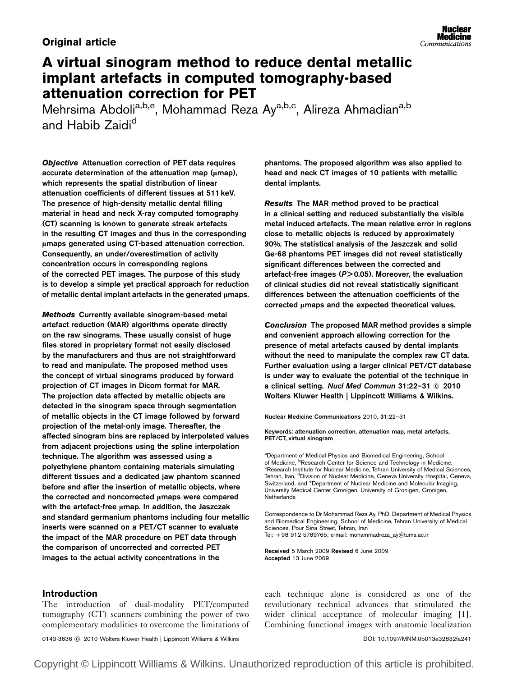# **Original article**

# A virtual sinogram method to reduce dental metallic implant artefacts in computed tomography-based attenuation correction for PET

Mehrsima Abdoli<sup>a,b,e</sup>, Mohammad Reza Ay<sup>a,b,c</sup>, Alireza Ahmadian<sup>a,b</sup> and Habib Zaidi<sup>d</sup>

Objective Attenuation correction of PET data requires accurate determination of the attenuation map ( $\mu$ map), which represents the spatial distribution of linear attenuation coefficients of different tissues at 511 keV. The presence of high-density metallic dental filling material in head and neck X-ray computed tomography (CT) scanning is known to generate streak artefacts in the resulting CT images and thus in the corresponding lmaps generated using CT-based attenuation correction. Consequently, an under/overestimation of activity concentration occurs in corresponding regions of the corrected PET images. The purpose of this study is to develop a simple yet practical approach for reduction of metallic dental implant artefacts in the generated  $\mu$ maps.

Methods Currently available sinogram-based metal artefact reduction (MAR) algorithms operate directly on the raw sinograms. These usually consist of huge files stored in proprietary format not easily disclosed by the manufacturers and thus are not straightforward to read and manipulate. The proposed method uses the concept of virtual sinograms produced by forward projection of CT images in Dicom format for MAR. The projection data affected by metallic objects are detected in the sinogram space through segmentation of metallic objects in the CT image followed by forward projection of the metal-only image. Thereafter, the affected sinogram bins are replaced by interpolated values from adjacent projections using the spline interpolation technique. The algorithm was assessed using a polyethylene phantom containing materials simulating different tissues and a dedicated jaw phantom scanned before and after the insertion of metallic objects, where the corrected and noncorrected umaps were compared with the artefact-free umap. In addition, the Jaszczak and standard germanium phantoms including four metallic inserts were scanned on a PET/CT scanner to evaluate the impact of the MAR procedure on PET data through the comparison of uncorrected and corrected PET images to the actual activity concentrations in the

phantoms. The proposed algorithm was also applied to head and neck CT images of 10 patients with metallic dental implants.

Results The MAR method proved to be practical in a clinical setting and reduced substantially the visible metal induced artefacts. The mean relative error in regions close to metallic objects is reduced by approximately 90%. The statistical analysis of the Jaszczak and solid Ge-68 phantoms PET images did not reveal statistically significant differences between the corrected and artefact-free images  $(P > 0.05)$ . Moreover, the evaluation of clinical studies did not reveal statistically significant differences between the attenuation coefficients of the corrected umaps and the expected theoretical values.

Conclusion The proposed MAR method provides a simple and convenient approach allowing correction for the presence of metal artefacts caused by dental implants without the need to manipulate the complex raw CT data. Further evaluation using a larger clinical PET/CT database is under way to evaluate the potential of the technique in a clinical setting. Nucl Med Commun 31:22-31 © 2010 Wolters Kluwer Health | Lippincott Williams & Wilkins.

Nuclear Medicine Communications 2010, 31:22–31

Keywords: attenuation correction, attenuation map, metal artefacts, PET/CT, virtual sinogram

a Department of Medical Physics and Biomedical Engineering, School of Medicine, <sup>b</sup>Research Center for Science and Technology in Medicine, <sup>b</sup>Research Institute for Nuclear Medicine, **Center** Research Institute for Nuclear Medicine, Tehran University of Medical Sciences, Tehran, Iran, <sup>d</sup>Division of Nuclear Medicine, Geneva University Hospital, Geneva, Switzerland, and <sup>e</sup>Department of Nuclear Medicine and Molecular Imaging, University Medical Center Gronigen, University of Gronigen, Gronigen, **Netherlands** 

Correspondence to Dr Mohammad Reza Ay, PhD, Department of Medical Physics and Biomedical Engineering, School of Medicine, Tehran University of Medical Sciences, Pour Sina Street, Tehran, Iran Tel: + 98 912 5789765; e-mail: mohammadreza\_ay@tums.ac.ir

Received 5 March 2009 Revised 6 June 2009

Accepted 13 June 2009

## Introduction

The introduction of dual-modality PET/computed tomography (CT) scanners combining the power of two complementary modalities to overcome the limitations of

0143-3636 ⓒ 2010 Wolters Kluwer Health | Lippincott Williams & Wilkins DOI: 10.1097/MNM.0b013e32832fa241

each technique alone is considered as one of the revolutionary technical advances that stimulated the wider clinical acceptance of molecular imaging [1]. Combining functional images with anatomic localization

Copyright © Lippincott Williams & Wilkins. Unauthorized reproduction of this article is prohibited.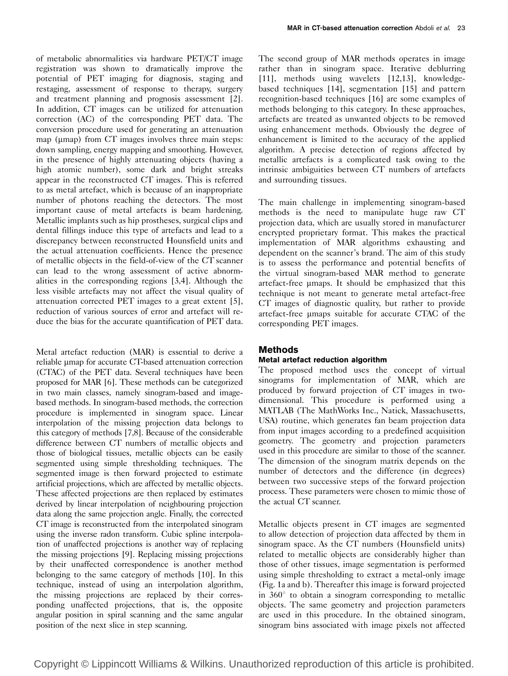of metabolic abnormalities via hardware PET/CT image registration was shown to dramatically improve the potential of PET imaging for diagnosis, staging and restaging, assessment of response to therapy, surgery and treatment planning and prognosis assessment [2]. In addition, CT images can be utilized for attenuation correction (AC) of the corresponding PET data. The conversion procedure used for generating an attenuation map ( $\mu$ map) from CT images involves three main steps: down sampling, energy mapping and smoothing. However, in the presence of highly attenuating objects (having a high atomic number), some dark and bright streaks appear in the reconstructed CT images. This is referred to as metal artefact, which is because of an inappropriate number of photons reaching the detectors. The most important cause of metal artefacts is beam hardening. Metallic implants such as hip prostheses, surgical clips and dental fillings induce this type of artefacts and lead to a discrepancy between reconstructed Hounsfield units and the actual attenuation coefficients. Hence the presence of metallic objects in the field-of-view of the CT scanner can lead to the wrong assessment of active abnormalities in the corresponding regions [3,4]. Although the less visible artefacts may not affect the visual quality of attenuation corrected PET images to a great extent [5], reduction of various sources of error and artefact will reduce the bias for the accurate quantification of PET data.

Metal artefact reduction (MAR) is essential to derive a reliable umap for accurate CT-based attenuation correction (CTAC) of the PET data. Several techniques have been proposed for MAR [6]. These methods can be categorized in two main classes, namely sinogram-based and imagebased methods. In sinogram-based methods, the correction procedure is implemented in sinogram space. Linear interpolation of the missing projection data belongs to this category of methods [7,8]. Because of the considerable difference between CT numbers of metallic objects and those of biological tissues, metallic objects can be easily segmented using simple thresholding techniques. The segmented image is then forward projected to estimate artificial projections, which are affected by metallic objects. These affected projections are then replaced by estimates derived by linear interpolation of neighbouring projection data along the same projection angle. Finally, the corrected CT image is reconstructed from the interpolated sinogram using the inverse radon transform. Cubic spline interpolation of unaffected projections is another way of replacing the missing projections [9]. Replacing missing projections by their unaffected correspondence is another method belonging to the same category of methods [10]. In this technique, instead of using an interpolation algorithm, the missing projections are replaced by their corresponding unaffected projections, that is, the opposite angular position in spiral scanning and the same angular position of the next slice in step scanning.

The second group of MAR methods operates in image rather than in sinogram space. Iterative deblurring [11], methods using wavelets [12,13], knowledgebased techniques [14], segmentation [15] and pattern recognition-based techniques [16] are some examples of methods belonging to this category. In these approaches, artefacts are treated as unwanted objects to be removed using enhancement methods. Obviously the degree of enhancement is limited to the accuracy of the applied algorithm. A precise detection of regions affected by metallic artefacts is a complicated task owing to the intrinsic ambiguities between CT numbers of artefacts and surrounding tissues.

The main challenge in implementing sinogram-based methods is the need to manipulate huge raw CT projection data, which are usually stored in manufacturer encrypted proprietary format. This makes the practical implementation of MAR algorithms exhausting and dependent on the scanner's brand. The aim of this study is to assess the performance and potential benefits of the virtual sinogram-based MAR method to generate artefact-free umaps. It should be emphasized that this technique is not meant to generate metal artefact-free CT images of diagnostic quality, but rather to provide artefact-free mmaps suitable for accurate CTAC of the corresponding PET images.

# Methods

# Metal artefact reduction algorithm

The proposed method uses the concept of virtual sinograms for implementation of MAR, which are produced by forward projection of CT images in twodimensional. This procedure is performed using a MATLAB (The MathWorks Inc., Natick, Massachusetts, USA) routine, which generates fan beam projection data from input images according to a predefined acquisition geometry. The geometry and projection parameters used in this procedure are similar to those of the scanner. The dimension of the sinogram matrix depends on the number of detectors and the difference (in degrees) between two successive steps of the forward projection process. These parameters were chosen to mimic those of the actual CT scanner.

Metallic objects present in CT images are segmented to allow detection of projection data affected by them in sinogram space. As the CT numbers (Hounsfield units) related to metallic objects are considerably higher than those of other tissues, image segmentation is performed using simple thresholding to extract a metal-only image (Fig. 1a and b). Thereafter this image is forward projected in  $360^\circ$  to obtain a sinogram corresponding to metallic objects. The same geometry and projection parameters are used in this procedure. In the obtained sinogram, sinogram bins associated with image pixels not affected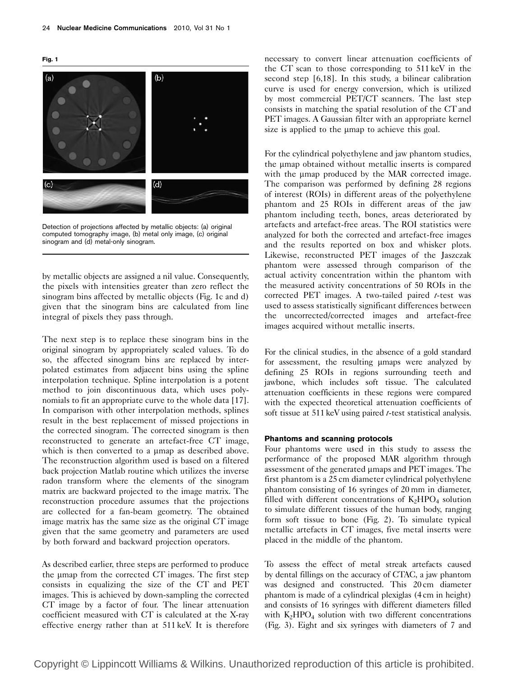Fig. 1



Detection of projections affected by metallic objects: (a) original computed tomography image, (b) metal only image, (c) original sinogram and (d) metal-only sinogram.

by metallic objects are assigned a nil value. Consequently, the pixels with intensities greater than zero reflect the sinogram bins affected by metallic objects (Fig. 1c and d) given that the sinogram bins are calculated from line integral of pixels they pass through.

The next step is to replace these sinogram bins in the original sinogram by appropriately scaled values. To do so, the affected sinogram bins are replaced by interpolated estimates from adjacent bins using the spline interpolation technique. Spline interpolation is a potent method to join discontinuous data, which uses polynomials to fit an appropriate curve to the whole data [17]. In comparison with other interpolation methods, splines result in the best replacement of missed projections in the corrected sinogram. The corrected sinogram is then reconstructed to generate an artefact-free CT image, which is then converted to a µmap as described above. The reconstruction algorithm used is based on a filtered back projection Matlab routine which utilizes the inverse radon transform where the elements of the sinogram matrix are backward projected to the image matrix. The reconstruction procedure assumes that the projections are collected for a fan-beam geometry. The obtained image matrix has the same size as the original CT image given that the same geometry and parameters are used by both forward and backward projection operators.

As described earlier, three steps are performed to produce the umap from the corrected CT images. The first step consists in equalizing the size of the CT and PET images. This is achieved by down-sampling the corrected CT image by a factor of four. The linear attenuation coefficient measured with CT is calculated at the X-ray effective energy rather than at 511 keV. It is therefore necessary to convert linear attenuation coefficients of the CT scan to those corresponding to 511 keV in the second step [6,18]. In this study, a bilinear calibration curve is used for energy conversion, which is utilized by most commercial PET/CT scanners. The last step consists in matching the spatial resolution of the CT and PET images. A Gaussian filter with an appropriate kernel size is applied to the umap to achieve this goal.

For the cylindrical polyethylene and jaw phantom studies, the umap obtained without metallic inserts is compared with the umap produced by the MAR corrected image. The comparison was performed by defining 28 regions of interest (ROIs) in different areas of the polyethylene phantom and 25 ROIs in different areas of the jaw phantom including teeth, bones, areas deteriorated by artefacts and artefact-free areas. The ROI statistics were analyzed for both the corrected and artefact-free images and the results reported on box and whisker plots. Likewise, reconstructed PET images of the Jaszczak phantom were assessed through comparison of the actual activity concentration within the phantom with the measured activity concentrations of 50 ROIs in the corrected PET images. A two-tailed paired  $t$ -test was used to assess statistically significant differences between the uncorrected/corrected images and artefact-free images acquired without metallic inserts.

For the clinical studies, in the absence of a gold standard for assessment, the resulting umaps were analyzed by defining 25 ROIs in regions surrounding teeth and jawbone, which includes soft tissue. The calculated attenuation coefficients in these regions were compared with the expected theoretical attenuation coefficients of soft tissue at 511 keV using paired *t*-test statistical analysis.

#### Phantoms and scanning protocols

Four phantoms were used in this study to assess the performance of the proposed MAR algorithm through assessment of the generated umaps and PET images. The first phantom is a 25 cm diameter cylindrical polyethylene phantom consisting of 16 syringes of 20 mm in diameter, filled with different concentrations of  $K_2HPO_4$  solution to simulate different tissues of the human body, ranging form soft tissue to bone (Fig. 2). To simulate typical metallic artefacts in CT images, five metal inserts were placed in the middle of the phantom.

To assess the effect of metal streak artefacts caused by dental fillings on the accuracy of CTAC, a jaw phantom was designed and constructed. This 20 cm diameter phantom is made of a cylindrical plexiglas (4 cm in height) and consists of 16 syringes with different diameters filled with  $K_2HPO_4$  solution with two different concentrations (Fig. 3). Eight and six syringes with diameters of 7 and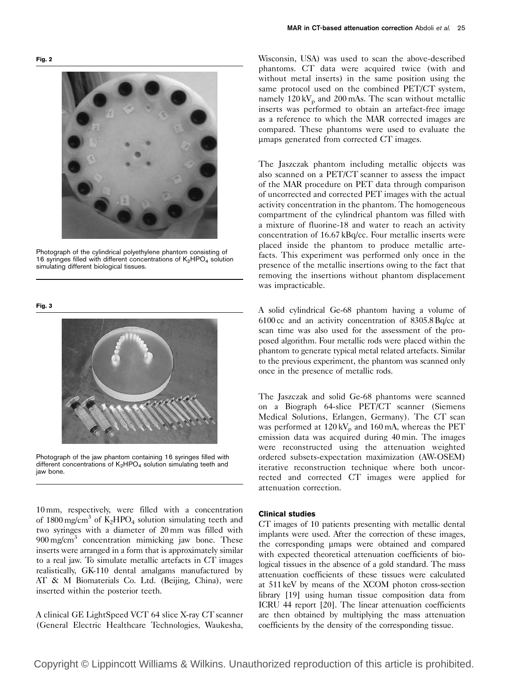

Photograph of the cylindrical polyethylene phantom consisting of 16 syringes filled with different concentrations of  $K_2HPO_4$  solution simulating different biological tissues.

Fig. 3



Photograph of the jaw phantom containing 16 syringes filled with different concentrations of  $K_2HPO_4$  solution simulating teeth and jaw bone.

10 mm, respectively, were filled with a concentration of 1800 mg/cm<sup>3</sup> of  $K_2HPO_4$  solution simulating teeth and two syringes with a diameter of 20 mm was filled with  $900 \text{ mg/cm}^3$  concentration mimicking jaw bone. These inserts were arranged in a form that is approximately similar to a real jaw. To simulate metallic artefacts in CT images realistically, GK-110 dental amalgams manufactured by AT & M Biomaterials Co. Ltd. (Beijing, China), were inserted within the posterior teeth.

A clinical GE LightSpeed VCT 64 slice X-ray CT scanner (General Electric Healthcare Technologies, Waukesha, Wisconsin, USA) was used to scan the above-described phantoms. CT data were acquired twice (with and without metal inserts) in the same position using the same protocol used on the combined PET/CT system, namely  $120 \text{ kV}_p$  and  $200 \text{ mAs}$ . The scan without metallic inserts was performed to obtain an artefact-free image as a reference to which the MAR corrected images are compared. These phantoms were used to evaluate the mmaps generated from corrected CT images.

The Jaszczak phantom including metallic objects was also scanned on a PET/CT scanner to assess the impact of the MAR procedure on PET data through comparison of uncorrected and corrected PET images with the actual activity concentration in the phantom. The homogeneous compartment of the cylindrical phantom was filled with a mixture of fluorine-18 and water to reach an activity concentration of 16.67 kBq/cc. Four metallic inserts were placed inside the phantom to produce metallic artefacts. This experiment was performed only once in the presence of the metallic insertions owing to the fact that removing the insertions without phantom displacement was impracticable.

A solid cylindrical Ge-68 phantom having a volume of 6100 cc and an activity concentration of 8305.8 Bq/cc at scan time was also used for the assessment of the proposed algorithm. Four metallic rods were placed within the phantom to generate typical metal related artefacts. Similar to the previous experiment, the phantom was scanned only once in the presence of metallic rods.

The Jaszczak and solid Ge-68 phantoms were scanned on a Biograph 64-slice PET/CT scanner (Siemens Medical Solutions, Erlangen, Germany). The CT scan was performed at  $120 \text{ kV}_p$  and 160 mA, whereas the PET emission data was acquired during 40 min. The images were reconstructed using the attenuation weighted ordered subsets-expectation maximization (AW-OSEM) iterative reconstruction technique where both uncorrected and corrected CT images were applied for attenuation correction.

#### Clinical studies

CT images of 10 patients presenting with metallic dental implants were used. After the correction of these images, the corresponding umaps were obtained and compared with expected theoretical attenuation coefficients of biological tissues in the absence of a gold standard. The mass attenuation coefficients of these tissues were calculated at 511 keV by means of the XCOM photon cross-section library [19] using human tissue composition data from ICRU 44 report [20]. The linear attenuation coefficients are then obtained by multiplying the mass attenuation coefficients by the density of the corresponding tissue.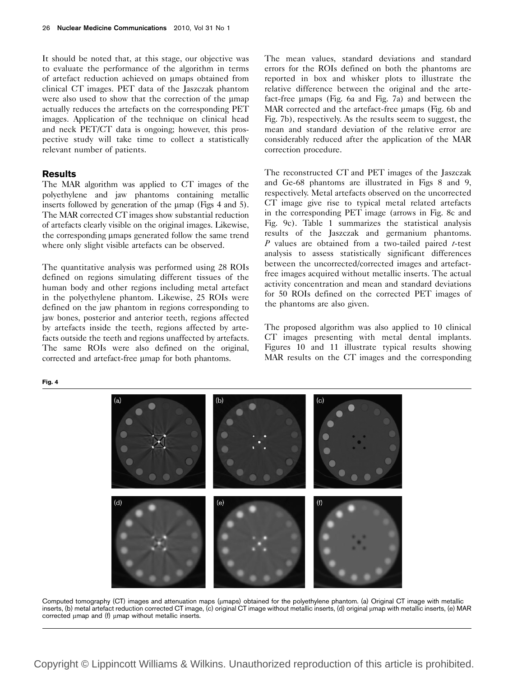It should be noted that, at this stage, our objective was to evaluate the performance of the algorithm in terms of artefact reduction achieved on mmaps obtained from clinical CT images. PET data of the Jaszczak phantom were also used to show that the correction of the umap actually reduces the artefacts on the corresponding PET images. Application of the technique on clinical head and neck PET/CT data is ongoing; however, this prospective study will take time to collect a statistically relevant number of patients.

### **Results**

The MAR algorithm was applied to CT images of the polyethylene and jaw phantoms containing metallic inserts followed by generation of the umap (Figs 4 and 5). The MAR corrected CT images show substantial reduction of artefacts clearly visible on the original images. Likewise, the corresponding umaps generated follow the same trend where only slight visible artefacts can be observed.

The quantitative analysis was performed using 28 ROIs defined on regions simulating different tissues of the human body and other regions including metal artefact in the polyethylene phantom. Likewise, 25 ROIs were defined on the jaw phantom in regions corresponding to jaw bones, posterior and anterior teeth, regions affected by artefacts inside the teeth, regions affected by artefacts outside the teeth and regions unaffected by artefacts. The same ROIs were also defined on the original, corrected and artefact-free  $\mu$ map for both phantoms.

The mean values, standard deviations and standard errors for the ROIs defined on both the phantoms are reported in box and whisker plots to illustrate the relative difference between the original and the artefact-free mmaps (Fig. 6a and Fig. 7a) and between the MAR corrected and the artefact-free umaps (Fig. 6b and Fig. 7b), respectively. As the results seem to suggest, the mean and standard deviation of the relative error are considerably reduced after the application of the MAR correction procedure.

The reconstructed CT and PET images of the Jaszczak and Ge-68 phantoms are illustrated in Figs 8 and 9, respectively. Metal artefacts observed on the uncorrected CT image give rise to typical metal related artefacts in the corresponding PET image (arrows in Fig. 8c and Fig. 9c). Table 1 summarizes the statistical analysis results of the Jaszczak and germanium phantoms. P values are obtained from a two-tailed paired  $t$ -test analysis to assess statistically significant differences between the uncorrected/corrected images and artefactfree images acquired without metallic inserts. The actual activity concentration and mean and standard deviations for 50 ROIs defined on the corrected PET images of the phantoms are also given.

The proposed algorithm was also applied to 10 clinical CT images presenting with metal dental implants. Figures 10 and 11 illustrate typical results showing MAR results on the CT images and the corresponding

#### Fig. 4



Computed tomography (CT) images and attenuation maps (µmaps) obtained for the polyethylene phantom. (a) Original CT image with metallic inserts, (b) metal artefact reduction corrected CT image, (c) original CT image without metallic inserts, (d) original mmap with metallic inserts, (e) MAR corrected umap and (f) umap without metallic inserts.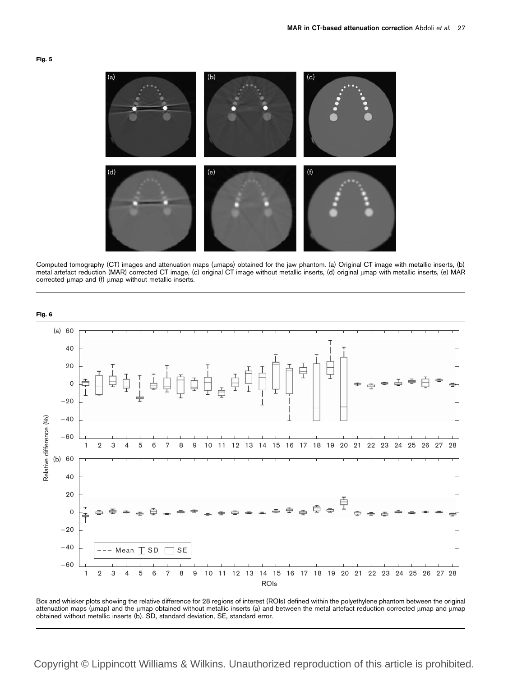



Computed tomography (CT) images and attenuation maps (umaps) obtained for the jaw phantom. (a) Original CT image with metallic inserts, (b) metal artefact reduction (MAR) corrected CT image, (c) original CT image without metallic inserts, (d) original mmap with metallic inserts, (e) MAR  $corrected \mu map$  and  $(f) \mu map$  without metallic inserts.



Box and whisker plots showing the relative difference for 28 regions of interest (ROIs) defined within the polyethylene phantom between the original attenuation maps (umap) and the umap obtained without metallic inserts (a) and between the metal artefact reduction corrected umap and umap obtained without metallic inserts (b). SD, standard deviation, SE, standard error.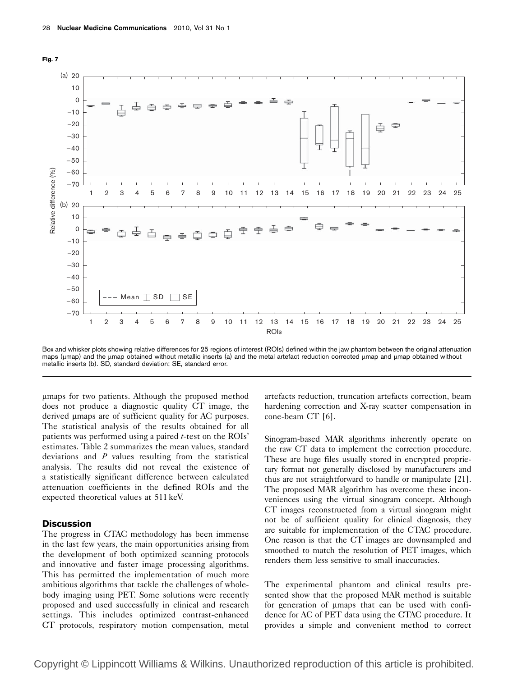



Box and whisker plots showing relative differences for 25 regions of interest (ROIs) defined within the jaw phantom between the original attenuation maps (umap) and the umap obtained without metallic inserts (a) and the metal artefact reduction corrected umap and umap obtained without metallic inserts (b). SD, standard deviation; SE, standard error.

mmaps for two patients. Although the proposed method does not produce a diagnostic quality CT image, the derived umaps are of sufficient quality for AC purposes. The statistical analysis of the results obtained for all patients was performed using a paired *t*-test on the ROIs' estimates. Table 2 summarizes the mean values, standard deviations and  $P$  values resulting from the statistical analysis. The results did not reveal the existence of a statistically significant difference between calculated attenuation coefficients in the defined ROIs and the expected theoretical values at 511 keV.

### **Discussion**

The progress in CTAC methodology has been immense in the last few years, the main opportunities arising from the development of both optimized scanning protocols and innovative and faster image processing algorithms. This has permitted the implementation of much more ambitious algorithms that tackle the challenges of wholebody imaging using PET. Some solutions were recently proposed and used successfully in clinical and research settings. This includes optimized contrast-enhanced CT protocols, respiratory motion compensation, metal artefacts reduction, truncation artefacts correction, beam hardening correction and X-ray scatter compensation in cone-beam CT [6].

Sinogram-based MAR algorithms inherently operate on the raw CT data to implement the correction procedure. These are huge files usually stored in encrypted proprietary format not generally disclosed by manufacturers and thus are not straightforward to handle or manipulate [21]. The proposed MAR algorithm has overcome these inconveniences using the virtual sinogram concept. Although CT images reconstructed from a virtual sinogram might not be of sufficient quality for clinical diagnosis, they are suitable for implementation of the CTAC procedure. One reason is that the CT images are downsampled and smoothed to match the resolution of PET images, which renders them less sensitive to small inaccuracies.

The experimental phantom and clinical results presented show that the proposed MAR method is suitable for generation of umaps that can be used with confidence for AC of PET data using the CTAC procedure. It provides a simple and convenient method to correct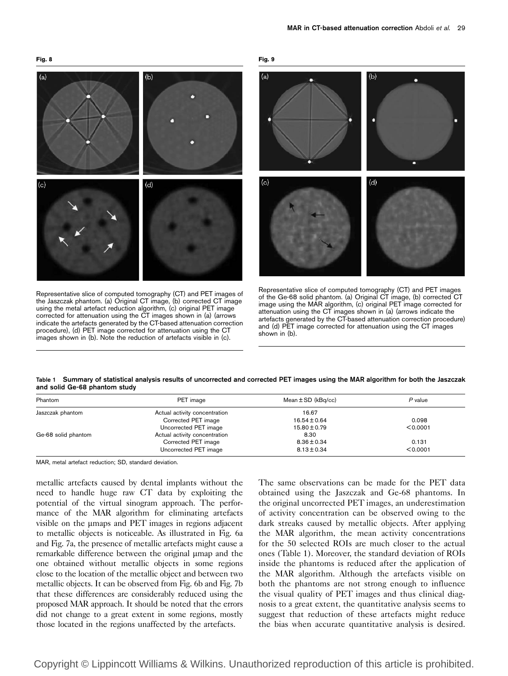

Table 1 Summary of statistical analysis results of uncorrected and corrected PET images using the MAR algorithm for both the Jaszczak and solid Ge-68 phantom study

| Phantom             | PET image                     | Mean $\pm$ SD (kBq/cc) | $P$ value |
|---------------------|-------------------------------|------------------------|-----------|
| Jaszczak phantom    | Actual activity concentration | 16.67                  |           |
|                     | Corrected PET image           | $16.54 \pm 0.64$       | 0.098     |
|                     | Uncorrected PET image         | $15.80 \pm 0.79$       | < 0.0001  |
| Ge-68 solid phantom | Actual activity concentration | 8.30                   |           |
|                     | Corrected PET image           | $8.36 \pm 0.34$        | 0.131     |
|                     | Uncorrected PET image         | $8.13 \pm 0.34$        | < 0.0001  |

MAR, metal artefact reduction; SD, standard deviation.

metallic artefacts caused by dental implants without the need to handle huge raw CT data by exploiting the potential of the virtual sinogram approach. The performance of the MAR algorithm for eliminating artefacts visible on the µmaps and PET images in regions adjacent to metallic objects is noticeable. As illustrated in Fig. 6a and Fig. 7a, the presence of metallic artefacts might cause a remarkable difference between the original  $\mu$ map and the one obtained without metallic objects in some regions close to the location of the metallic object and between two metallic objects. It can be observed from Fig. 6b and Fig. 7b that these differences are considerably reduced using the proposed MAR approach. It should be noted that the errors did not change to a great extent in some regions, mostly those located in the regions unaffected by the artefacts.

The same observations can be made for the PET data obtained using the Jaszczak and Ge-68 phantoms. In the original uncorrected PET images, an underestimation of activity concentration can be observed owing to the dark streaks caused by metallic objects. After applying the MAR algorithm, the mean activity concentrations for the 50 selected ROIs are much closer to the actual ones (Table 1). Moreover, the standard deviation of ROIs inside the phantoms is reduced after the application of the MAR algorithm. Although the artefacts visible on both the phantoms are not strong enough to influence the visual quality of PET images and thus clinical diagnosis to a great extent, the quantitative analysis seems to suggest that reduction of these artefacts might reduce the bias when accurate quantitative analysis is desired.

Copyright © Lippincott Williams & Wilkins. Unauthorized reproduction of this article is prohibited.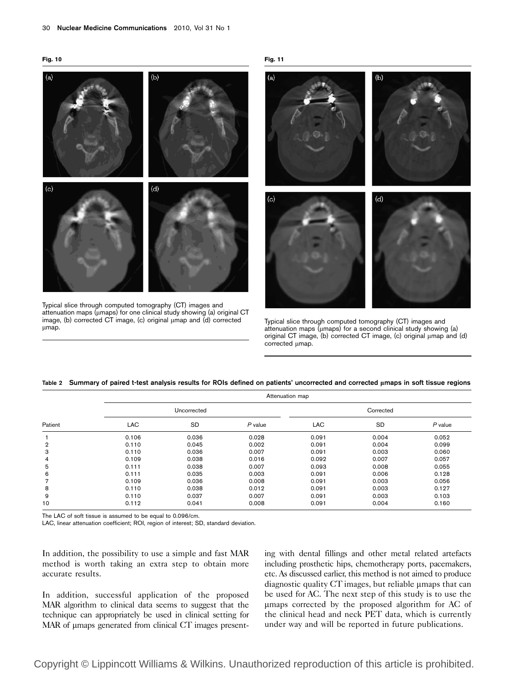

attenuation maps (umaps) for one clinical study showing (a) original CT image, (b) corrected CT image, (c) original umap and (d) corrected  $\mu$ map.





Typical slice through computed tomography (CT) images and attenuation maps  $\overline{(µmaps)}$  for a second clinical study showing  $\overline{(a)}$ original CT image, (b) corrected CT image, (c) original umap and (d) corrected umap.

|  |  | Table 2 Summary of paired t-test analysis results for ROIs defined on patients' uncorrected and corrected µmaps in soft tissue regions |  |  |  |  |  |  |
|--|--|----------------------------------------------------------------------------------------------------------------------------------------|--|--|--|--|--|--|
|--|--|----------------------------------------------------------------------------------------------------------------------------------------|--|--|--|--|--|--|

| Patient        | Attenuation map |           |           |            |       |           |
|----------------|-----------------|-----------|-----------|------------|-------|-----------|
|                | Uncorrected     |           |           | Corrected  |       |           |
|                | LAC.            | <b>SD</b> | $P$ value | <b>LAC</b> | SD    | $P$ value |
|                | 0.106           | 0.036     | 0.028     | 0.091      | 0.004 | 0.052     |
| $\overline{2}$ | 0.110           | 0.045     | 0.002     | 0.091      | 0.004 | 0.099     |
| З              | 0.110           | 0.036     | 0.007     | 0.091      | 0.003 | 0.060     |
| 4              | 0.109           | 0.038     | 0.016     | 0.092      | 0.007 | 0.057     |
| 5              | 0.111           | 0.038     | 0.007     | 0.093      | 0.008 | 0.055     |
| 6              | 0.111           | 0.035     | 0.003     | 0.091      | 0.006 | 0.128     |
| ,              | 0.109           | 0.036     | 0.008     | 0.091      | 0.003 | 0.056     |
| 8              | 0.110           | 0.038     | 0.012     | 0.091      | 0.003 | 0.127     |
| 9              | 0.110           | 0.037     | 0.007     | 0.091      | 0.003 | 0.103     |
| 10             | 0.112           | 0.041     | 0.008     | 0.091      | 0.004 | 0.160     |

The LAC of soft tissue is assumed to be equal to 0.096/cm.

LAC, linear attenuation coefficient; ROI, region of interest; SD, standard deviation.

In addition, the possibility to use a simple and fast MAR method is worth taking an extra step to obtain more accurate results.

In addition, successful application of the proposed MAR algorithm to clinical data seems to suggest that the technique can appropriately be used in clinical setting for MAR of umaps generated from clinical CT images presenting with dental fillings and other metal related artefacts including prosthetic hips, chemotherapy ports, pacemakers, etc. As discussed earlier, this method is not aimed to produce diagnostic quality CT images, but reliable umaps that can be used for AC. The next step of this study is to use the mmaps corrected by the proposed algorithm for AC of the clinical head and neck PET data, which is currently under way and will be reported in future publications.

Copyright © Lippincott Williams & Wilkins. Unauthorized reproduction of this article is prohibited.